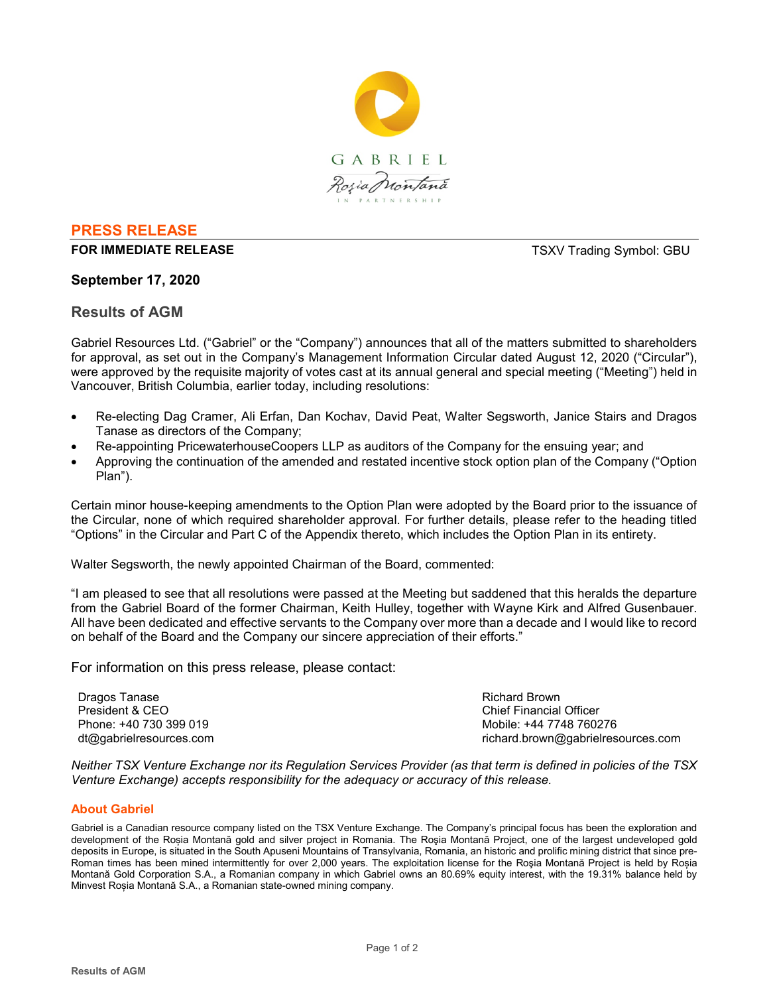

# **PRESS RELEASE**

**FOR IMMEDIATE RELEASE THE SECOND SYMBOL: GBU TSXV Trading Symbol: GBU** 

## **September 17, 2020**

## **Results of AGM**

Gabriel Resources Ltd. ("Gabriel" or the "Company") announces that all of the matters submitted to shareholders for approval, as set out in the Company's Management Information Circular dated August 12, 2020 ("Circular"), were approved by the requisite majority of votes cast at its annual general and special meeting ("Meeting") held in Vancouver, British Columbia, earlier today, including resolutions:

- Re-electing Dag Cramer, Ali Erfan, Dan Kochav, David Peat, Walter Segsworth, Janice Stairs and Dragos Tanase as directors of the Company;
- Re-appointing PricewaterhouseCoopers LLP as auditors of the Company for the ensuing year; and
- Approving the continuation of the amended and restated incentive stock option plan of the Company ("Option Plan").

Certain minor house-keeping amendments to the Option Plan were adopted by the Board prior to the issuance of the Circular, none of which required shareholder approval. For further details, please refer to the heading titled "Options" in the Circular and Part C of the Appendix thereto, which includes the Option Plan in its entirety.

Walter Segsworth, the newly appointed Chairman of the Board, commented:

"I am pleased to see that all resolutions were passed at the Meeting but saddened that this heralds the departure from the Gabriel Board of the former Chairman, Keith Hulley, together with Wayne Kirk and Alfred Gusenbauer. All have been dedicated and effective servants to the Company over more than a decade and I would like to record on behalf of the Board and the Company our sincere appreciation of their efforts."

For information on this press release, please contact:

Dragos Tanase President & CEO Phone: +40 730 399 019 dt@gabrielresources.com Richard Brown Chief Financial Officer Mobile: +44 7748 760276 richard.brown@gabrielresources.com

*Neither TSX Venture Exchange nor its Regulation Services Provider (as that term is defined in policies of the TSX Venture Exchange) accepts responsibility for the adequacy or accuracy of this release.*

#### **About Gabriel**

Gabriel is a Canadian resource company listed on the TSX Venture Exchange. The Company's principal focus has been the exploration and development of the Roșia Montană gold and silver project in Romania. The Roşia Montană Project, one of the largest undeveloped gold deposits in Europe, is situated in the South Apuseni Mountains of Transylvania, Romania, an historic and prolific mining district that since pre-Roman times has been mined intermittently for over 2,000 years. The exploitation license for the Roşia Montană Project is held by Roșia Montană Gold Corporation S.A., a Romanian company in which Gabriel owns an 80.69% equity interest, with the 19.31% balance held by Minvest Roșia Montană S.A., a Romanian state-owned mining company.